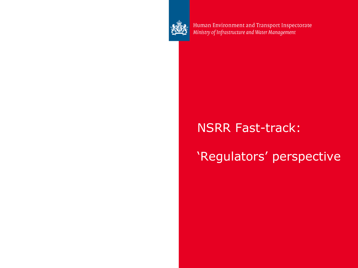

Human Environment and Transport Inspectorate<br>Ministry of Infrastructure and Water Management

#### NSRR Fast-track:

## 'Regulators' perspective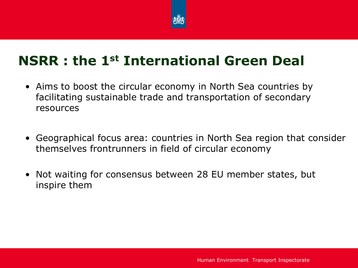

## **NSRR : the 1st International Green Deal**

- Aims to boost the circular economy in North Sea countries by facilitating sustainable trade and transportation of secondary resources
- Geographical focus area: countries in North Sea region that consider themselves frontrunners in field of circular economy
- Not waiting for consensus between 28 EU member states, but inspire them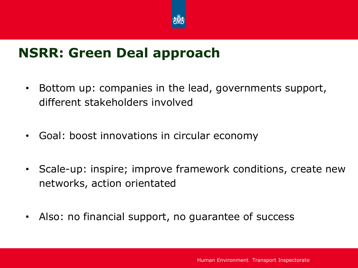

#### **NSRR: Green Deal approach**

- Bottom up: companies in the lead, governments support, different stakeholders involved
- Goal: boost innovations in circular economy
- Scale-up: inspire; improve framework conditions, create new networks, action orientated
- Also: no financial support, no guarantee of success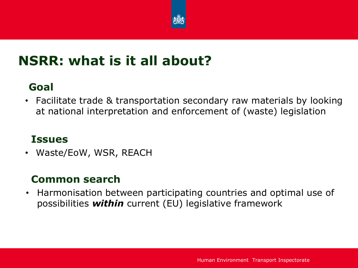

## **NSRR: what is it all about?**

#### **Goal**

• Facilitate trade & transportation secondary raw materials by looking at national interpretation and enforcement of (waste) legislation

#### **Issues**

• Waste/EoW, WSR, REACH

#### **Common search**

• Harmonisation between participating countries and optimal use of possibilities *within* current (EU) legislative framework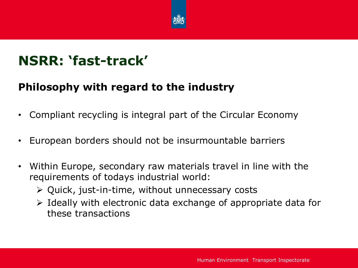

## **NSRR: 'fast-track'**

#### **Philosophy with regard to the industry**

- Compliant recycling is integral part of the Circular Economy
- European borders should not be insurmountable barriers
- Within Europe, secondary raw materials travel in line with the requirements of todays industrial world:
	- $\triangleright$  Quick, just-in-time, without unnecessary costs
	- $\triangleright$  Ideally with electronic data exchange of appropriate data for these transactions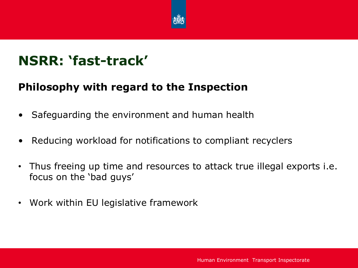

## **NSRR: 'fast-track'**

#### **Philosophy with regard to the Inspection**

- Safeguarding the environment and human health
- Reducing workload for notifications to compliant recyclers
- Thus freeing up time and resources to attack true illegal exports i.e. focus on the 'bad guys'
- Work within EU legislative framework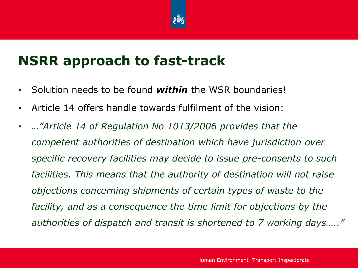

## **NSRR approach to fast-track**

- Solution needs to be found *within* the WSR boundaries!
- Article 14 offers handle towards fulfilment of the vision:
- *…"Article 14 of Regulation No 1013/2006 provides that the competent authorities of destination which have jurisdiction over specific recovery facilities may decide to issue pre-consents to such facilities. This means that the authority of destination will not raise objections concerning shipments of certain types of waste to the facility, and as a consequence the time limit for objections by the authorities of dispatch and transit is shortened to 7 working days….."*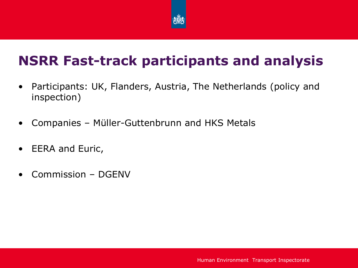

# **NSRR Fast-track participants and analysis**

- Participants: UK, Flanders, Austria, The Netherlands (policy and inspection)
- Companies Müller-Guttenbrunn and HKS Metals
- EERA and Euric,
- Commission DGENV

Human Environment Transport Inspectorate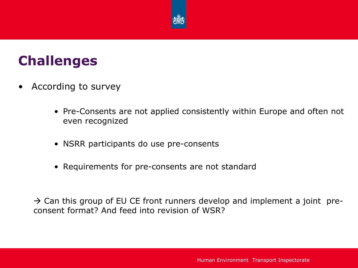

#### **Challenges**

- According to survey
	- Pre-Consents are not applied consistently within Europe and often not even recognized
	- NSRR participants do use pre-consents
	- Requirements for pre-consents are not standard

 $\rightarrow$  Can this group of EU CE front runners develop and implement a joint preconsent format? And feed into revision of WSR?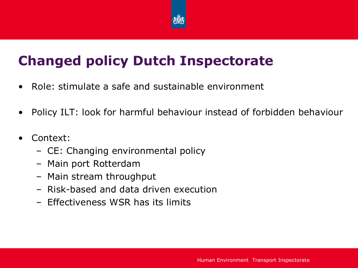

# **Changed policy Dutch Inspectorate**

- Role: stimulate a safe and sustainable environment
- Policy ILT: look for harmful behaviour instead of forbidden behaviour
- Context:
	- CE: Changing environmental policy
	- Main port Rotterdam
	- Main stream throughput
	- Risk-based and data driven execution
	- Effectiveness WSR has its limits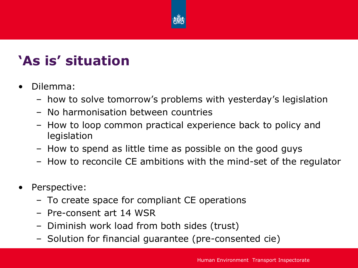

# **'As is' situation**

- Dilemma:
	- how to solve tomorrow's problems with yesterday's legislation
	- No harmonisation between countries
	- How to loop common practical experience back to policy and legislation
	- How to spend as little time as possible on the good guys
	- How to reconcile CE ambitions with the mind-set of the regulator
- Perspective:
	- To create space for compliant CE operations
	- Pre-consent art 14 WSR
	- Diminish work load from both sides (trust)
	- Solution for financial guarantee (pre-consented cie)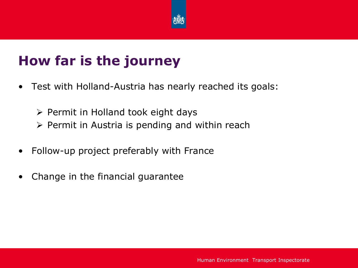

# **How far is the journey**

- Test with Holland-Austria has nearly reached its goals:
	- $\triangleright$  Permit in Holland took eight days
	- $\triangleright$  Permit in Austria is pending and within reach
- Follow-up project preferably with France
- Change in the financial guarantee